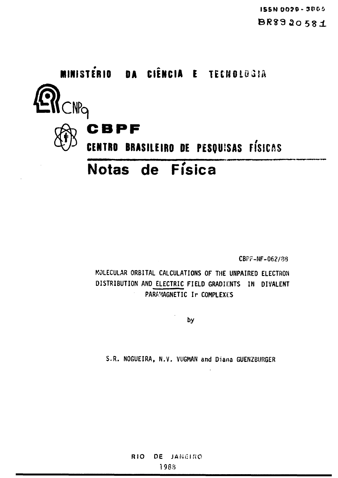

CBPr-NF-062/83

**MOLECULAR ORBITAL CALCULATIONS OF THE UNPAIRED ELECTRON DISTRIBUTION AND ELECTRIC FIELD GRADIENTS IN DIVALENT PARAMAGNETIC Ir COMPLEXES**

**by**

**S.R. NOGUEIRA, N.V. VUGMAN and Diana GUENZBIJRGER**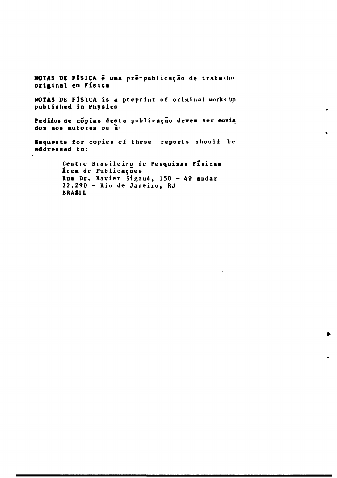**NOTAS DE FÍSICA é uma pré-publicação de trabaiho original em Fisica**

**NOTAS DE FlSICA is a preprint of original works un published in Physics**

 $\blacksquare$ 

Ġ,

Pedidos de cópias desta publicação devem ser envia **dos aos autores ou a:**

**Requests for copies of these reports should be addressed to:**

> **Centro Brasileiro de Pesquisas Fisicas Xrea de Publica^oes Rua Dr. Xavier Sigaud, 150 - 49 andar 22.290 - Rio de Janeiro, RJ BRAS1L**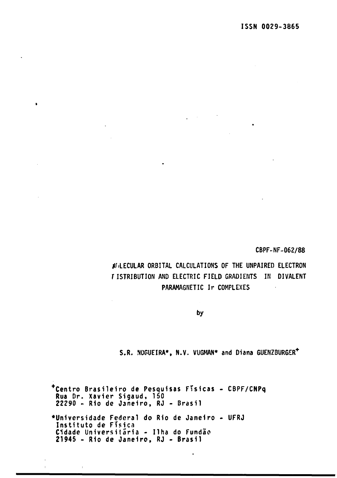**CBPF-NF-062/88**

**tf.LECULAR ORBITAL CALCULATIONS OF THE UNPAIRED ELECTRON rISTRIBUTION AND ELECTRIC FIELD GRADIENTS IN DIVALENT PARAMAGNETIC Ir COMPLEXES**  $\ddot{\phantom{a}}$ 

**by**

**S.R. NOGUEIRA\*. N.V. VUGMAN\* and Diana GUENZBURGER+**

**Centre Brasileiro de Pesquisas FTsicas - CBPF/CNPq Rua Dr. Xavier Sigaud, 150 22290 - Rio de Janeiro, RJ - Brasil •Universidade Federal do Rio de Janeiro • UFRJ Instituto de Fisica Cidade Universitaria - IIha do Fundao 21945 - Rio de Janeiro, RJ - Brasil**

 $\ddot{\phantom{0}}$ 

 $\mathbf{r}$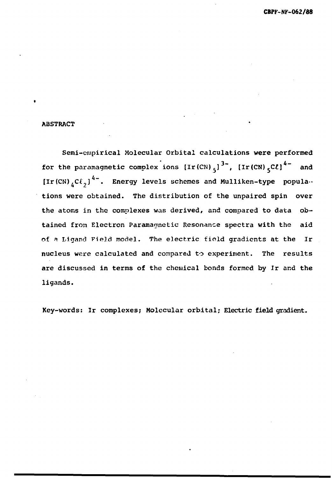#### **ABSTRACT**

Semi-empirical Molecular Orbital calculations were performed for the paramagnetic complex ions  $[\text{Ir (CN) }_{5}]^{3-}$ ,  $[\text{Ir (CN) }_{5}C\ell]^{4-}$  and [Ir(CN)<sub>4</sub>Cl<sub>2</sub>]<sup>4-</sup>. Energy levels schemes and Mulliken-type populations were obtained. The distribution of the unpaired spin over the atoms in the complexes was derived, and compared to data obtained from Electron Paramagnetic Resonance spectra with the aid of a Ligand Field model. The electric field gradients at the Ir nucleus were calculated and compared to experiment. The results are discussed in terms of the chemical bonds formed by Ir and the  $\frac{1}{2}$  is the chemical bonds for the chemical bonds for the chemical by Ir and the chemical by Ir and the chemical by Ir and the chemical by Ir and the chemical by Ir and the chemical by Ir and the chemical by Ir and t

Key-words: Ir complexes; Molecular orbital; Electric field gradient.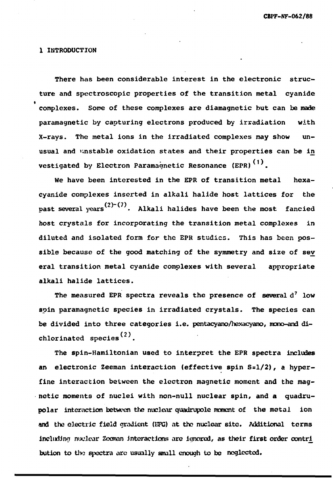#### **1 INTRODUCTION**

**There has been considerable interest in the electronic structure and spectroscopic properties of the transition metal cyanide complexes. Some of these complexes are diamagnetic but can be made paramagnetic by capturing electrons produced by irradiation with X-rays. The metal ions in the irradiated complexes may show unusual and unstable oxidation states and their properties can be in vestigated by Electron Paramagnetic Resonance (EPR) .**

**We have been interested in the EPR of transition metal hexacyanide complexes inserted in alkali halide host lattices for the** past several years<sup>(2)-(7)</sup>. Alkali halides have been the most fancied **host crystals for incorporating the transition metal complexes in diluted and isolated form for the EPR studies. This has been possible because of the good matching of the symmetry and size of sev eral transition metal cyanide complexes with several appropriate alkali halide lattices.**

**The measured EPR spectra reveals the presence of several d<sup>7</sup> low spin paramagnetic species in irradiated crystals. The species can be divided into three categories i.e. pentacyano/hexacyano, mono-and di** chlorinated species<sup>(2)</sup>.

**The spin-Hamiltonian used to interpret the EPR spectra includes an electronic Zeeman interaction (effective spin S=l/2), a hyperfine interaction between the electron magnetic moment and the magnetic moments of nuclei with non-null nuclear spin, and a quadrupolar interaction between the nuclear quadrupole moment of the metal ion and the electric field gradient (EPG) at the nuclear site. Additional terms** including nuclear Zeeman interactions are ignored, as their first order contri **bution to the spectra arc usually small enough to be neglected.**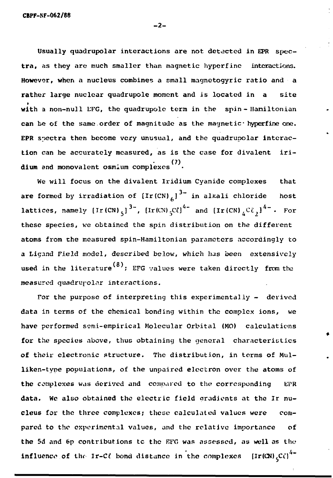Usually quadrupolar interactions are not detected in EPR spectra, as they arc much smaller than magnetic hyperfinc interactions. However, when a nucleus combines a small magnetogyric ratio and  $\mathbf a$ rather large nuclear quadrupole moment and is located in a site with a non-null EFG, the quadrupole term in the spin-Hamiltonian can be of the same order of magnitude as the magnetic hyperfine one. EPR spectra then become very unusual, and the quadrupolar interaction can be accurately measured, as is the case for divalent iri- (7) dium and monovalent osmium complexes

We will focus on the divalent Iridium Cyanide complexes that are formed by irradiation of  $[Ir(CN)]_6]^{3-}$  in alkali chloride host lattices, namely  $\left[\text{Ir(CN)}_{5}\right]^{3+}$ ,  $\left[\text{Ir(CN)}_{5}\text{C}\ell\right]^{4+}$  and  $\left[\text{Ir(CN)}_{5}\text{C}\ell\right]^{4+}$ . For these species, we obtained the spin distribution on the different atoms from the measured spin-Hamiltonian parameters accordingly to a Ligand Field model, described below, which has been extensively used in the literature $^{(8)}$ ; EFG values were taken directly from the measured quadrupolar interactions.

For the purpose of interpreting this experimentally - derived data in terms of the chemical bonding within the complex ions, we have performed semi-empirical Molecular Orbital (MO) calculations for the species above, thus obtaining the general characteristics of their electronic structure. The distribution, in terms of Mulliken-type populations, of the unpaired electron over the atoms of the complexes was derived and compared to the corresponding EPR data. We also obtained the electric field gradients at the Ir nucleus for the three complexes; these calculated values were compared to the experimental values, and the relative importance of the 5d and 6p contributions tc the EFG was assessed, aa well as the influence of the Ir-C $\ell$  bond distance in the complexes.  $\left[\text{Ir}(\text{CN})\right]^{4-}$ 

— 2 —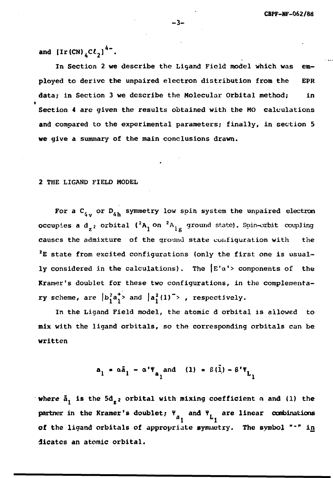and  $[\text{Ir (CN)}_{4}C\ell_{2}]^{4-}$ .

In Section 2 we describe the Ligand Field model which was employed to derive the unpaired electron distribution from the EPR data; in Section 3 we describe the Molecular Orbital method; in Section 4 are given the results obtained with the MO calculations and compared to the experimental parameters; finally, in section 5 we give a summary of the main conclusions drawn.

2 THE LIGAND FIELD MODEL

For a C<sub>4</sub> or D<sub>4h</sub> symmetry low spin system the unpaired electron occupies a d  $_2$  orbital ( ${}^2\text{A}^-_1$  on  ${}^2\text{A}^-_{1\,\,\sigma}$  ground state). Spin-orbit coupling causes the admixture of the ground state configuration with the <sup>2</sup>E state from excited configurations (only the first one is usually considered in the calculations). The  $E' \alpha' >$  components of the Kramer's doublet for these two configurations, in the complementary scheme, are  $|b_1^2 a_1^*|$  and  $|a_1^2(1)|^2$ , respectively.

In the Ligand Field model, the atomic d orbital is allowed to mix with the ligand orbitals, so the corresponding orbitals can be written

$$
a_1 = \alpha \tilde{a}_1 - \alpha' \tilde{f}_{a_1} \text{ and } (1) = \beta(\tilde{1}) - \beta' \tilde{f}_{a_1}
$$

where  $\tilde{a}_1$  is the  $5d_{z^2}$  orbital with mixing coefficient  $\alpha$  and (1) the partner in the Kramer's doublet;  $\Psi_a$  and  $\Psi_f$  are linear combinations  $a_1$   $b_1$ of the ligand orbitals of appropriate symmetry. The symbol "-" in dicatcs an atomic orbital.

**- 3 -**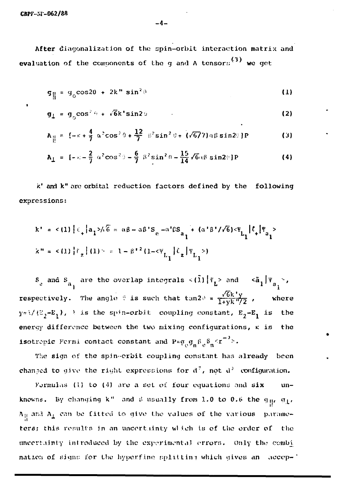CBPF-NI-062/88

After diagonalization of the spin-orbit interaction matrix and evaluation of the components of the g and A tensors<sup>(3)</sup> we get

$$
g_{\parallel} = g_0 \cos 2\theta + 2k'' \sin^2 \theta \tag{1}
$$

$$
\mathbf{g}_{\perp} = \mathbf{g}_{0} \cos^{2} \theta + \sqrt{6} \mathbf{k}^{\dagger} \sin 2 \theta \tag{2}
$$

$$
A_{\parallel} = \left\{ -\kappa + \frac{4}{7} \, \alpha^2 \cos^2 \theta + \frac{12}{7} \, \beta^2 \sin^2 \theta + \left( \sqrt{677} \right) \alpha \beta \sin 2\theta \right\} P \tag{3}
$$

$$
A_{\perp} = [-\pi - \frac{2}{7} \alpha^2 \cos^2 \theta - \frac{6}{7} \beta^2 \sin^2 \theta - \frac{15}{14} \sqrt{6} \alpha \beta \sin 2\theta ] P \qquad (4)
$$

k' and k" are orbital reduction factors defined by the following expressions:

$$
k' = \langle 1 \rangle \left[ \ell_+ |a_1\rangle / \tilde{6} = \alpha \beta - \alpha \beta' S_e^{-\alpha' \beta S} a_1 + (\alpha' \beta' / \sqrt{6}) \langle \Psi_L | \ell_+ | \Psi_{a_1} \rangle \right]
$$
  

$$
k'' = \langle 1 \rangle \left[ \ell_z | (1) \rangle = 1 - \beta'^2 (1 - \langle \Psi_L | \ell_z | \Psi_{L_1} \rangle) \right]
$$

 $S_g$  and  $S_{a_1}$  are the overlap integrals  $\langle (\tilde{1}) | \Psi_L \rangle$  and  $\langle \tilde{a}_1 | \Psi_{a_1} \rangle$ , respectively. The angle  $\theta$  is such that tan2 $\theta = \frac{\sqrt{6}k'y}{1+yk''/2}$ , where  $y \in \sqrt{(\mathbb{E}_2 - \mathbb{E}_1)}$ ,  $\ge$  is the spin-orbit coupling constant,  $\mathbb{E}_2 - \mathbb{E}_1$  is the energy difference between the two mixing configurations,  $\kappa$  is the isotrepic Fermi contact constant and  $P = \sigma_0 \sigma_n \beta_e \beta_n \leq r^{-3}$ .

The sign of the spin-crbit coupling constant has already been changed to give the right expressions for  $d^7$ , not  $d^3$  configuration.

Formulas (1) to (4) are a set of four equations and  $six$  $un$ knowns. By changing k" and B usually from 1.0 to 0.6 the  $g_{\parallel}$ ,  $g_{\perp}$ ,  $A_{\parallel}$  and  $A_{\perp}$  can be fitted to give the values of the various parameters; this results in an uncertainty which is of the order of the uncertainty introduced by the experimental errors. Only the combi nation of signs for the hyperfine splitting which gives an accep-'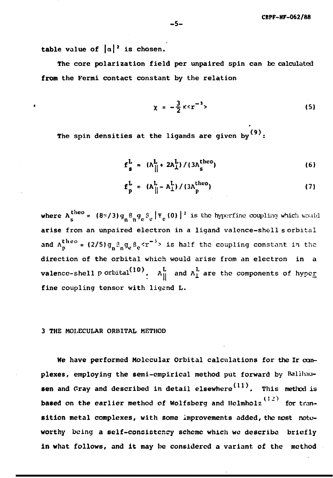table value of  $|a|^2$  is chosen.

The core polarization field per unpaired spin can be calculated **from** the Fermi contact constant by the relation

$$
\chi = -\frac{3}{2} \kappa \langle r^{-3} \rangle \tag{5}
$$

**(9).** The spin densities at the ligands are given by

$$
f_s^L = (A_{\parallel}^L + 2A_{\perp}^L) / (3A_s^{theo})
$$
 (6)

$$
\mathbf{f}_{\mathbf{p}}^{\mathbf{L}} = (\mathbf{A}_{\parallel}^{\mathbf{L}} - \mathbf{A}_{\perp}^{\mathbf{L}}) / (3\mathbf{A}_{\mathbf{p}}^{\text{theo}})
$$
 (7)

where  $A_e^{theo} = (8\pi/3) g_n^8 g_n^9 g_e^8 |\Psi_e(0)|^2$  is the hyperfine coupling which would arise from an unpaired electron in a ligand valence-shell s orbital and  $A_n^{theo}$  = (2/5)g<sub>n</sub>  $g_n g_p s_p < r^{-3}$  is half the coupling constant in the direction of the orbital which would arise from an electron in a **valence-shell p** orbital<sup>(10)</sup>.  $A^L_{\parallel}$  and  $A^L_{\perp}$  are the components of hyper **fine coupling tensor with ligend L.**

#### **3 THE MOLECULAR ORBITAL METHOD**

**He have performed Molecular Orbital calculation s for the Ir complexes, employing the semi-empirical method put forward by** Balllmusen and Gray and described in detail elsewhere<sup>(11)</sup>. This method is based on the earlier method of Wolfsberg and Helmholz<sup>(12)</sup> for transition metal complexes, with some improvements added, the most noteworthy being a self-consistency scheme which we describe briefly in what follows, and it may be considered a variant of the method

in what follows, and it may be considered a variant of the method it may be considered a variant of the method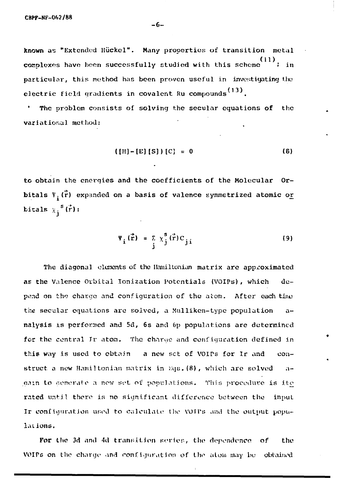known as "Extended Hückel". Many properties of transition metal (11) complexes have been successfully studied with this scheme ; in particular, this method has been proven useful in investigating the electric field gradients in covalent Ru compounds<sup>(13)</sup>.

The problem consists of solving the secular equations of the variational method:

$$
([H] - [E] [S]) [C] = 0
$$
 (8)

to obtain the energies and the coefficients of the Molecular Orbitals  $\Psi_i(\vec{r})$  expanded on a basis of valence symmetrized atomic or bitals  $\chi_i^s(\vec{r})$ :

$$
\Psi_{i}(\vec{r}) = \sum_{j} \chi_{j}^{s}(\vec{r}) C_{j i}
$$
 (9)

The diagonal elements of the Hamiltonian matrix are approximated as the Valence Orbital lonization Potentials (VOIPs), which depend on the charge nnd configuration of the atom. After each tino the secular equations are solved, a Mulliken-type population analysis is performed and 5d, 6s and 6p populations are determined for the central Ir atom. The charge and configuration defined in this way is used to obtain a new set of VOIPs for Ir and construct a new Hamiltonian matrix in Eqs.  $(8)$ , which are solved - again to generate a new set of populations. This procedure is ite rated until there is no significant difference between the input Ir configuration used to calculate the VOIPs and the output populations.

For the 3d and 4d transition series, the dependence of the VOIPs on the charge and configuration of the atom may be: obtained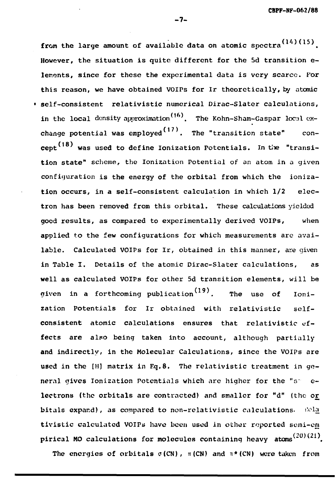from the large amount of available data on atomic spectra  $(14)(15)$ . However, the situation is quite different for the 5d transition elements, since for these the experimental data is very scarce. For this reason, we have obtained VOIPs for Ir theoretically, by atomic • self-consistent relativistic numerical Dirac-Slater calculations, in the local density approximation<sup>(16)</sup>. The Kohn-Sham-Gaspar local exchange potential was employed  $(17)$ . The "transition state" concept<sup>(18)</sup> was used to define Ionization Potentials. In the "transition state" scheme, the Ionization Potential of an atom in a given configuration is the energy of the orbital from which the ionization occurs, in a self-consistent calculation in which  $1/2$  electron has been removed from this orbital. These calculations yielded good results, as compared to experimentally derived VOIPs, when applied to the few confiqurations for which measurements are available. Calculated VOIPs for Ir, obtained in this manner, are given in Table I. Details of the atomic Dirac-Slater calculations, as well as calculated VOIPs for other 5d transition elements, will be well as calculated VOIPs for  $(19)$  for other  $5$ d transition elements, will be transition elements, will be transition elements, will be transition elements, will be transition elements, will be transition elements, will zation Potentials for Ir obtained with relativistic selfconsistent atomic calculations ensures that relativistic effects are also being taken into account, although partially and indirectly, in the Molecular Calculations, since the VOIPs are used in the  $[H]$  matrix in Eq.8. The relativistic treatment in qeneral gives Ionization Potentials which are higher for the "s" electrons (the orbitals are contracted) and smaller for "d" (the or bitals expand), as compared to non-relativistic calculations. Welg tivistic calculated VOIPs have been used in other reported semi-em pirical MO calculations for molecules containing heavy atoms<sup>(20)(21)</sup>.

The energies of orbitals  $\sigma(CN)$ ,  $\pi(CN)$  and  $\pi*(CN)$  were taken from

The energies of orbitals c(CN), n(CN) and TI\*(CN) and TI\*(CN) were taken from taken from taken from the energies

- 7-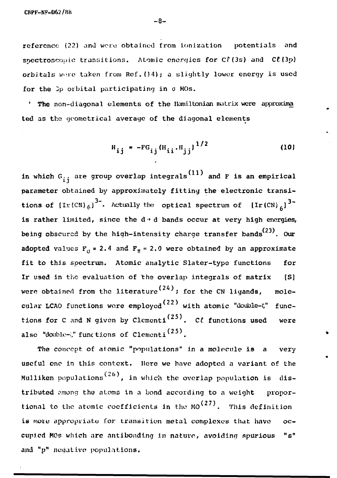reference (22) and were obtained from ionization potentials and spectroscopic transitions. Atomic energies for Cf(3s) and C£(3p) orbitals were taken from Ref. (14); a slightly lower energy is used for the 3p orbital participating in  $\sigma$  MOs.

' The non-diagonal elements of the Hamiltonian matrix were approxima ted as the geometrical average of the diagonal elements

$$
H_{ij} = -FG_{ij}(H_{ii} \cdot H_{jj})^{1/2}
$$
 (10)

in which  $G_{i,i}$  are group overlap integrals<sup>(11)</sup> and F is an empirical parameter obtained by approximately fitting the electronic transi- $3-$  betwell: the entired exections of  $Im(ON)$   $3$ tions of  $U_{\ell}(c_0)\ell_1$  . We early the optical spectrum of  $U_{\ell}(c_0)\ell_1$ is rather limited, since the  $d + d$  bands occur at very high energies, being obscured by the high-intensity charge transfer bands $^{(23)}$ . Our adopted values  $F_0 = 2.4$  and  $F_{\pi} = 2.0$  were obtained by an approximate fit to this spectrum. Atomic analytic Slater-type functions for Ir used in the evaluation of the overlap integrals of matrix [S] were obtained from the literature<sup>(24)</sup>; for the CN ligands, molecular LCAO functions were employed  $(22)$  with atomic "double- $\zeta$ " functions for C and N given by Clementi<sup>(25)</sup>. Cl functions used were also "double- $\zeta$ " functions of Clementi<sup>(25)</sup>.

The concept of atomic "populations" in a molecule is a very useful one in this context. Here we have adopted a variant of the Mulliken populations<sup>(26)</sup>, in which the overlap population is distributed among the atoms in a bond according to a weight proportional to the atomic coefficients in the MO<sup> $(27)$ </sup>. This definition is more appropriate for transition metal complexes that have occupied MOs which are nntibonding in nature, avoiding spurious "s" and "p" negative populations.

 $-8-$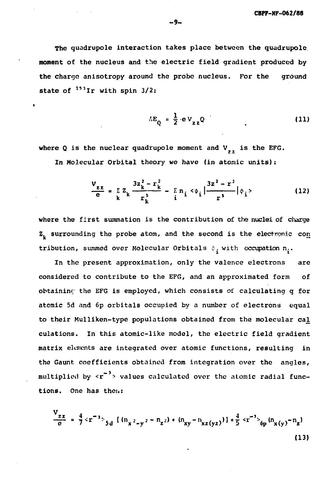The quadrupole interaction takes place between the quadrupole moment of the nucleus and the electric field gradient produced by the charge anisotropy around the probe nucleus. For the ground state of  $^{193}$ Ir with spin 3/2:

$$
\Delta E_{Q} = \frac{1}{2} \cdot eV_{zz}Q
$$
 (11)

where Q is the nuclear quadrupole moment and  $V_{i,j}$  is the EFG. In Molecular Orbital theory we have (in atomic units):

$$
\frac{V_{zz}}{e} = \sum_{k} Z_k \frac{3z_k^2 - r_k^2}{r_k^5} - \sum_{i} n_i < \phi_i \left| \frac{3z^2 - r^2}{r^5} \right| \phi_i >
$$
 (12)

where the first summation is the contribution of the nuclei of charge  $z<sub>L</sub>$  surrounding the probe atom, and the second is the electronic con tribution, summed over Molecular Orbitals  $\phi_i$ , with occupation n..

In the present approximation, only the valence electrons are considered to contribute to the EFG, and an approximated form of obtaining the EFG is employed, which consists of calculating q for atomic 5d and 6p orbitals occupied by a number of electrons equal to their Mulliken-type populations obtained from the molecular cal culations. In this atomic-like model, the electric field gradient matrix elements are integrated over atomic functions, resulting in the Gaunt coefficients obtained from integration over the angles, multiplied by  $\langle r^{-3} \rangle$  values calculated over the atomic radial functions. One has then:

$$
\frac{V_{zz}}{e} = \frac{4}{7} \langle r^{-3} \rangle_{5d} \left[ (n_{x^2-y^2} - n_{z^2}) + (n_{xy} - n_{xz(yz)}) \right] + \frac{4}{5} \langle r^{-3} \rangle_{6p} (n_{x(y)} - n_{z})
$$
\n(13)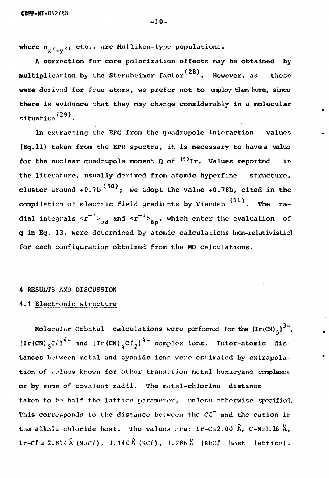where  $\mathbf{n}_{\mathbf{x}^2-\mathbf{y}^2}$ , etc., are Mulliken-type populations.

A correction for core polarization effects may be obtained by  $\tt multiplication$  by the Sternheimer factor $^{(28)}$ . However, as these were derived for free atoms, we prefer not to employ them here, since there is evidence that they may change considerably in a molecular situation $^{(29)}$ .

In extracting the EFG from the quadrupole interaction values (Eq.ll) taken from the EPR spectra, it is necessary to have a value for the nuclear quadrupole moment Q of  $^{193}\text{Ir.}$  Values reported in the literature, usually derived from atomic hyperfine structure, cluster around +0.7b  $^{(30)}$ ; we adopt the value +0.78b, cited in the compilation of electric field gradients by Vianden  $(31)$ . The radial integrals  $\langle r^{-3} \rangle_{5,1}$  and  $\langle r^{-3} \rangle_{6,1}$ , which enter the evaluation of q in Eq. 13, were determined by atomic calculations (non-relativistic) for each configuration obtained from the MO calculations.

#### 4 RESULTS AND DISCUSSION

## 4.1 Electronic structure

Molecular Orbital calculations were performed for the  $[\text{Ir}(\text{CN})_{5}]^{3-}$ ,  $[\text{Ir(CN)}, \text{CC}]$ <sup>4-</sup> and  $[\text{Ir(CN)}, \text{CC}_2]$ <sup>4-</sup> complex ions. Inter-atomic distances between metal and cyanide ions were estimated by extrapolation of values known for other transition metal hexacyano complexes or by sums of covalent radii. The metal-chlorine distance taken to be half the lattice parameter, unless otherwise specified. This corresponds to the distance between the  $Cl<sup>+</sup>$  and the cation in the alkali chloride host. The values are:  $Ir-C=2.00 \text{ Å}$ ,  $C=N=1.16 \text{ Å}$ ,  $tr-C\ell = 2.814\hat{X}$  (NaCl),  $3.140\hat{X}$  (KCl),  $3.286\hat{X}$  (RbCl host lattice).

Ir-Cf » 2.814A (NaCO/ 3.14OJJ (KCf), 3.2BbX (RbCf host lattice).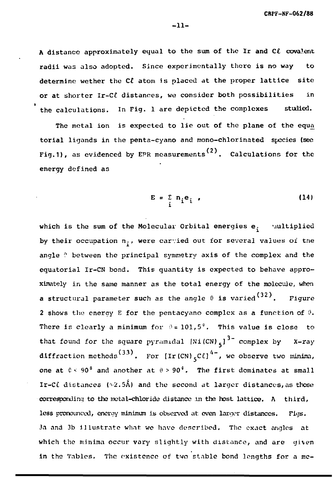ft distance approximately equal to the sum of the Ir **and** C£ cova.lent radii was also adopted. Since experimentally there is no way to determine wether the CL atom is placed at the proper lattice site or at shorter Ir-Cl distances, we consider both possibilities in the calculations. In Fig. 1 are depicted the complexes studied.

The metal ion is expected to lie out of the plane of the equa torial ligands in the penta-cyano and mono-chlorinated species (see Fig.1), as evidenced by EPR measurements $^{(2)}$ . Calculations for the energy defined as

$$
E = \sum_{i} n_i e_i \tag{14}
$$

which is the sum of the Molecular Orbital energies  $e_i$  -multiplied by their occupation  $n_i$ , were carvied out for several values of the angle ? between the principal symmetry axis of the complex and the equatorial Ir-CN bond. This quantity is expected to behave approximately in the same manner as the total energy of the molecule, when **a** structural parameter such as the angle  $\theta$  is varied  $^{(32)}$ . Figure 2 shows the energy E for the pentacyano complex as a function of  $\theta$ . There is clearly a minimum for  $\theta = 101,5^{\circ}$ . This value is close that found for the square pyramidal  $[Ni(CN)]_q$ <sup>3-</sup> complex by X-ray diffraction methods<sup>(33)</sup>. For  $[\text{Ir(CN)}_{5}C\ell]^{4-}$ , we observe two minima, one at  $0 < 90^9$  and another at  $\theta > 90^9$ . The first dominates at small Ir-C $\hat{L}$  distances ( $\sqrt{2.5\hat{A}}$ ) and the second at larger distances, as those corresponding to the metal-chloride distance in the host lattice.  $A$  third, less pronounced, energy minimum is observed at even larger distances. Figs. 3a and 3b illustrate what wo have described. The exact angles at which the minima occur vary slightly with distance, and are given in the Tables, The existence of two stable bond lengths for a me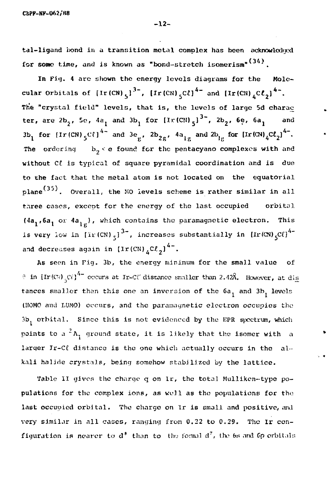tal-ligand bond in a transition metal complex has been acknowledged for some time, and is known as "bond-stretch isomerism" $(34)$ .

In Fig. 4 are shown the energy levels diagrams for the Molecular Orbitals of  $[Ir(CN)_{s}]^{3}$ ,  $[Ir(CN)_{s}C2]^{4}$  and  $[Ir(CN)_{s}C\ell_{0}]^{4}$ . The "crystal field" levels, that is, the levels of large 5d charac ter, are  $2b_2$ , 5c, 4a, and 3b, for  $[Ir(CN)_{5}]^{3}$ ,  $2b_2$ , 6e, 6a, and 3b, for  $\left[\text{Ir(CN)}\right]$ <sup>4</sup> and 3e<sub>g</sub>, 2b<sub>2g</sub>, 4a<sub>t a</sub> and 2b<sub>1g</sub> for  $\left[\text{Ir(CN)}\right]$  (Cl<sub>2</sub>)<sup>4</sup>. The ordering  $b, c$  found for the pentacyano complexes with and without Cl is typical of square pyramidal coordination and is due to the fact that the metal atom is not located on the equatorial plane<sup>(35)</sup>. Overall, the MO levels scheme is rather similar in all three cases, except for the energy of the last occupied orbital  $(4a_1, 6a_1$  or  $4a_{1g})$ , which contains the paramagnetic electron. This is very low in  $[\text{Tr}(\text{CN})_{\leq}]^{3-}$ , increases substantially in  $[\text{Tr}(\text{CN})_{\leq}C\ell]^{4-}$ and decreases again in  $\left[\text{Ir(CN)}\right]^{4-}$ .

As seen in Fig. 3b, the energy minimum for the small value of  $\theta$  in  $\left\{ \text{Tr}\left(\mathbb{C}U\right)_{\infty}C\ell\right\} ^{4+}$  occurs at Ir-CC distance smaller than 2.42 $\theta$ . However, at dis tances smaller than this one an inversion of the  $6a_1$  and  $3b_1$  levels (HOMO and LUMO) occurs, and the paramagnetic electron occupies the 3b, orbital. Since this is not evidenced by the EPR spectrum, which points to a  $^2$ A<sub>1</sub> ground state, it is likely that the isomer with a larger Ir-C $\ell$  distance is the one which actually occurs in the alkali halide crystals, being somehow stabilized by the lattice.

Table II gives the charge q on Ir, the total Mulliken-type populations for the complex ions, as well as tho populations for tho last occupied orbital. The charge on Ir is small and positive, and very similar in nil cases, ranging from 0.22 to 0.29. The ir configuration is nearer to  $d^*$  than to the formal  $d^7$ , the 6s and Gp orbitals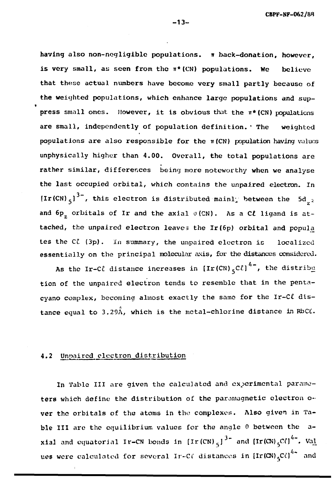having also non-negligible populations.  $\pi$  back-donation, however, is very small, as seen from the n\*(CN) populations. We believe that these actual numbers have become very small partly because of the weighted populations, which enhance large populations and suppress small ones. However, it is obvious that the  $\pi*(CN)$  populations are small, independently of population definition. \* The weighted populations are also responsible for the  $\pi$  (CN) population having values unphysically higher than 4.00. Overall, the total populations are rather similar, differences being more noteworthy when we analyse the last occupied orbital, which contains the unpaired electron. In  $\left[\text{Ir(CN)}_{5}\right]^{3-}$ , this electron is distributed mainly between the 5d<sub>2</sub>2 and  $6p_{7}$  orbitals of Ir and the axial  $\sigma$ (CN). As a C $\ell$  ligand is attached, the unpaired electron leaves the Ir(6p) orbital and popula tes the C£ (3p). In summary, the unpaired electron is localized essentially on the principal molecular axis, for the distances considered.

As the Ir-C $\ell$  distance increases in  $\left[\text{Ir(CN)}\right]^{4-}$ , the distribution tion of the unpaired electron tends to resemble that in the pentacyano complex, becoming almost exactly the same for the Ir-Cl distance equal to  $3.29\text{\AA}$ , which is the metal-chlorine distance in RbC $\ell$ .

#### 4• Unpaired electron distribution

In Table III are given the calculated and experimental parameters which define the distribution of the paramagnetic electron over the orbitals of the atoms in the complexes. Also given in Table III are the equilibrium values for the angle 0 between the axial and equatorial Ir-CN bonds in [Ir(CN)<sub>5</sub>]<sup>3</sup> and [Ir(CN)<sub>5</sub>Cf]<sup>4</sup> . Va<u>l</u> ues were calculated for several Ir-Ci' distances in  $\left[\text{Ir}\left(\text{CN}\right)_{r}\text{C}\ell\right]^{4\infty}$  and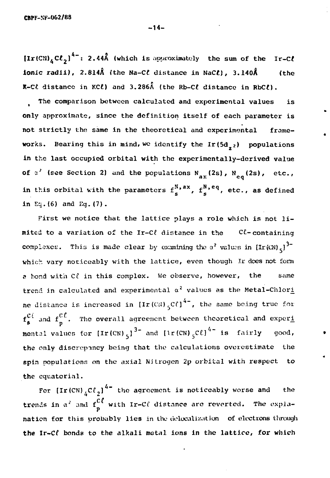$\left[\text{Ir(CN)}_{4}C\ell_{2}\right]^{4-}$ : 2.44Å (which is approximately the sum of the Ir-C $\ell$ ionic radii), 2.814Å (the Na-C $\ell$  distance in NaC $\ell$ ), 3.140Å (the  $R-C\ell$  distance in KC $\ell$ ) and 3.286Å (the Rb-C $\ell$  distance in RbC $\ell$ ).

The comparison between calculated and experimental values is only approximate, since the definition itself of each parameter is not strictly the same in the theoretical and experimental frameworks. Bearing this in mind, we identify the Ir(5d<sub>22</sub>) populations in the last occupied orbital with the experimentally-derived value of  $\alpha^2$  (see Section 2) and the populations N<sub>ax</sub>(2s), N<sub>eq</sub>(2s), etc., in this orbital with the parameters  $f_s^{N,\,ax}$ ,  $f_s^{N,\,eq}$ , etc., as defined 5 S in  $Eq.$  (6) and  $Eq.$  (7).

First we notice that the lattice plays a role which is not limited to a variation of the IT-Ci distance in the C Containing complexes. This is made clear by examining the  $\alpha$  values in [Ir(CN) $_5$ ] which vary noticeably with the lattice, even though Ir does not form a bond with  $C\ell$  in this complex. We observe, however, the same trend in calculated and experimental a values as the Metal-Chlori ne distance is increased in  $[\text{Ir(CN)}_5C\ell]^{4-}$ , the same being true for  $\mathbf{f}^{\mathbf{C}\,t}_{\mathbf{g}}$  and  $\mathbf{f}^{\mathbf{C}\,t}_{\mathbf{p}}$ . The overall agreement between theoretical and exper<u>i</u> mental values for  $[\text{Ir(CN)}_{5}]^{3}$  and  $[\text{Ir(CN)}_{5}$ C $\ell]^{3}$  is fairly good, the only discrepancy boing that the calculations overestimate the spin populations on the axial Nitrogen 2p orbital with respect to the equatorial.

For  $[\text{Ir (CN)}_{\Delta} \text{C} \ell_{\gamma}]^{4-}$  the agreement is noticeably worse and the trends in  $\alpha^2$  and  $f_0^{UL}$  with Ir-C $\ell$  distance are reverted. The explanation for this probably lies in the delocalization of electrons through the Ir-Cl bonds to the alkali metal ions in the lattice, for which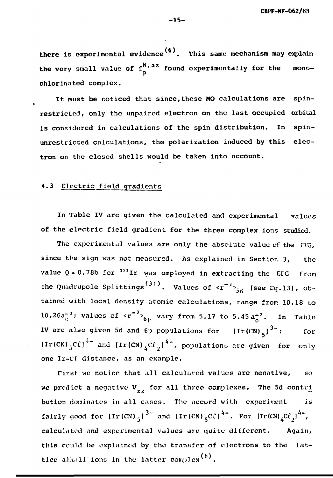there is experimental evidence<sup>(6)</sup>. This same mechanism may explain the very small value of  $f^{N,\,ax}_{n}$  found experimentally for the mono-P chlorinated complex.

It must be noticed that since,these MO calculations are spinrestricted, only the unpaired electron on the last occupied orbital is considered in calculations of the spin distribution. In spinunrestricted calculations, the polarization induced by this electron on the closed shells would be taken into account.

### 4.3 Electric field gradients

In Table IV are given the calculated and experimental values of the electric field gradient for the three complex ions studied.

The experimental values are only the absolute value of the ETG, since the sign was not measured. As explained in Section 3, the value Q = 0.78b for  $^{19\,3}\text{Ir}$  was employed in extracting the EFG from the Quadrupole Splittings<sup>(377</sup>). Values of  $\langle r^{-3} \rangle_{5,8}$  (see Eq.13), obtained with local density atomic calculations, range from 10.18 to 10.26 $a_{\circ}^{-3}$ ; values of  $\langle r^{-3} \rangle_{6p}$  vary from 5.17 to 5.45 $a_{\circ}^{-3}$ . In Table IV are also given 5d and 6p populations for  $[Ir(CN)_{s}]^{3-}$ ; for  $\left(\text{Ir (CN)}\right.\frac{\text{C}}{\text{C}}\text{C}\text{)}$  and  $\left(\text{Ir (CN)}\right.\frac{\text{C}}{\text{C}}\text{C}\text{)}$ , populations are given for only one Ir-Cf distance, as an example.

First we notice that all calculated values are negative, so we predict a negative  $V_{\gamma z}$  for all three complexes. The 5d contri bution dominates in all cares. The accord with experiment is fairly good for  $[\text{Ir(CN)}_5]^{3\text{--}}$  and  $[\text{Ir(CN)}_5 \text{C}\ell]^{4\text{--}}$ . For  $[\text{Ir(CN)}_4 \text{C}\ell_3]^{4\text{--}}$ , calculated and experimental values are quitu different. Again, this could be explained by the transfer of electrons to the lattice alkali ions in the latter complex  $(6)$ .

**-15 -**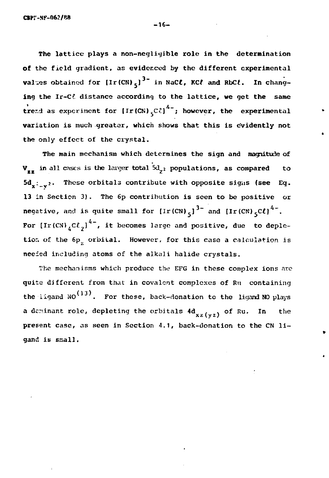CBPr-NF-062/88

The lattice plays a non-negligible role in the determination of the field gradient, as evidenced by the different experimental values obtained for  $[Ir(CN)_{5}]^{3}$  in NaC $\ell$ , KC $\ell$  and RbC $\ell$ . In changing the Ir-C& distance according to the lattice, we get the same trend as experiment for  $[Ir (CN) _{S}C\ell ]^{4-}$ ; however, the experimental variation is much greater, which shows that this is evidently not the only effect of the crystal.

The main mechanism which determines the sign and magnitude of  $V_{zz}$  in all cases is the larger total  $\overline{5d}_{z^2}$  populations, as compared to  $5d_{\text{y}}$ :  $\frac{1}{2}$ . These orbitals contribute with opposite signs (see Eq. 13 in Section 3). The 6p contribution is seen to be positive or negative, and is quite small for  $\left[\text{Ir(CN)}_{5}\right]^{3-}$  and  $\left[\text{Ir(CN)}_{5}C\ell\right]^{4-}$ . For  $\left\{\text{Ir(CN)}_{k}CL_{j}\right\}^{4-}$ , it becomes large and positive, due to depletion of the 6p<sub>c</sub> orbital. However, for this case a calculation is needed including atoms of the alkali halide crystals.

The mechanisms which produce the EFG in these complex ions are quite different from that in covalent complexes of Ru containing the ligand  $NO<sup>(13)</sup>$ . For these, back-donation to the ligand NO plays a deminant role, depleting the orbitals  $4d_{xz(yz)}$  of Ru. In the present case, as seen in Section 4.1, back-donation to the CN lipresent case, as seen in Section 4.1, back-donation  $\mathcal{L}_{\mathcal{A}}$ , back-donation to the CN li-

-16-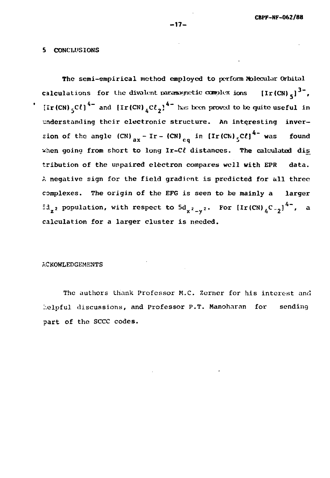#### **5 CONCLUSIONS**

The semi-empirical method employed to perform Molecular Orbital **calculations** for the divalent paramagnetic complex ions  $[\text{Ir(CN)}_c]^3$ ,  $\left[\text{Ir(CN)}\right]$  **(Cf)**  $\text{Ano}$   $\left[\text{Ir(CN)}\right]$   $\text{C}\ell$   $\text{C}$ <sup>2</sup>  $\text{Ano}$  been proved to be quite useful in **understanding their electronic structure. An interesting inver-** $\text{Fion of the angle (CN)}$   $\text{or}$   $\text{Tr} - \text{(CN)}$   $\text{or}$   $\text{in (Tr (CN)} \cdot \text{CCl}^4$  was found when going from short to long Ir-Cl distances. The calculated dis tribution of the unpaired electron compares well with EPR data. tribution of the unpaired electron compares well **with** EPR data.  $A$  negative sign for the field gradient is predicted for all three field gradient is predicted for all three field  $\alpha$ complexes. The origin of the EFG is seen to be mainly a larger  $5d_{z^2}$  population, with respect to  $5d_{x^2-y^2}$ . For  $[\text{Ir(CN)}_4^{\,}C_{-2}^{\,}]^{\,4-}$ , and calculation for a larger cluster is needed.

#### ACKOWLEDGEMENTS

The authors thank Professor M.C. Zerner for his interest and helpful discussions, and Professor P.T. Manoharan for sending part of the SCCC codes.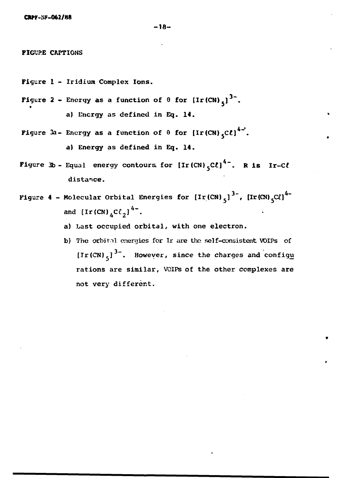**FIGURE CAPTIONS** 

- Figure 1 Iridium Complex Ions.
- Figure 2 Energy as a function of  $\theta$  for  $\left[\text{Ir(CN)}_{5}\right]^{3}$ . a) Energy as defined in Eq. 14.
- Figure 3a- Energy as a function of  $\theta$  for [Ir(CN)<sub>5</sub>C<sup>L</sup>]<sup>4-</sup>. a) Energy as defined in Eq. 14.
- Figure 3b Equal energy contours for  $\left[\text{Ir(CN)}\right]^{4-}$ . R is Ir-Cl distance.
- Figure 4 Molecular Orbital Energies for  $[Ir(CN)_{5}]^{37}$ ,  $[Ir(CN)_{5}C\ell]^{47}$ and  $[Ir(CN)]_4C\ell$ <sub>2</sub><sup>4</sup>.
	- a) Last occupied orbital, with one electron.
	- b) The orbital energies for Ir are the self-consistent VOIPs of [Ir(CN)<sub>5</sub>]<sup>3-</sup>. However, since the charges and config<u>u</u> rations are similar, VOIPs of the other complexes are not very different.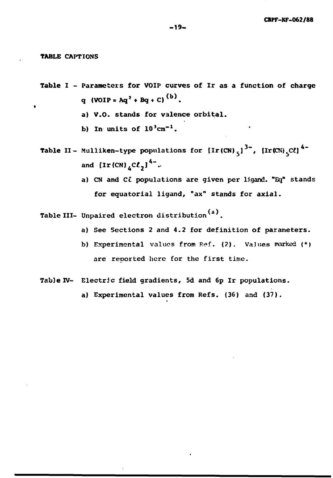**TABLE** CAPTIONS

- Table I Parameters for VOIP curves of Ir as a function of charge q (VOIP = Aq<sup>2</sup> + Bq + C)<sup>(b)</sup>.
	- a) V.O. stands for valence orbital.
	- b) In units of  $10^{3}$ cm<sup>-1</sup>.
- **Table II-** Mulliken-type populations for  $\left[\text{Ir (CN)}_{5}\right]^{3\text{-}}$ ,  $\left[\text{Ir (CN)}_{5}\right]^{4\text{-}}$ and  $\left\{ \text{Ir (CN)}_{4}C\ell_{2}\right\} ^{4-}...$ 
	- a) CN and  $C\hat{\iota}$  populations are given per ligand. "Eq" stands for equatorial ligand, "ax" stands for axial.
- Table III- Unpaired electron distribution<sup>(a)</sup>.
	- a) See Sections 2 and 4.2 for definition of parameters.
	- b) Experimental values from Ref. (2). Values marked (\*) are reported here for the first time.
- Table IV- Electric field gradients, 5d and 6p Ir populations.
	- a) Experimental values from Refs. (36) and (37).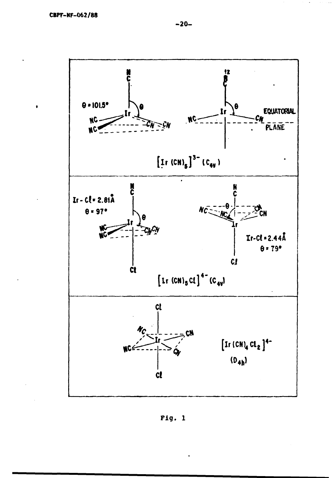

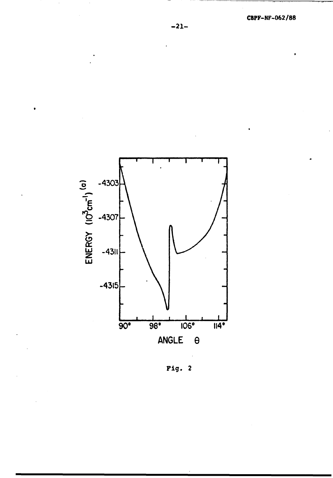

Fig.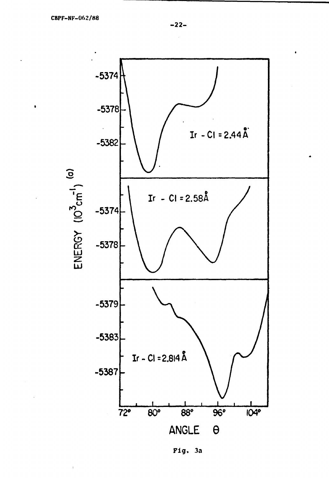$\bullet$ 

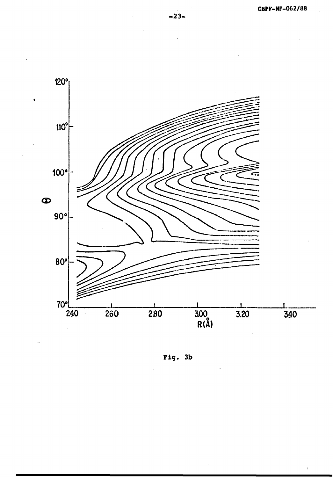

Fig.  $3b$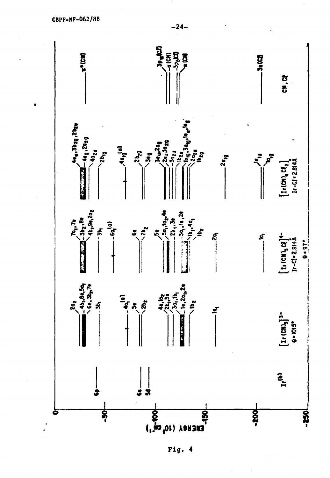

Fig.  $\blacktriangleleft$ 

 $-24-$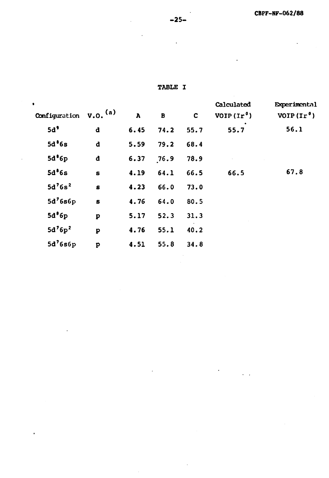**TABLE I**

| ٠                  |                         |              |         |             | Calculated  | <b>Experimental</b> |
|--------------------|-------------------------|--------------|---------|-------------|-------------|---------------------|
| Configuration      | $v.o.$ <sup>(a)</sup>   | $\mathbf{A}$ | $\bf B$ | $\mathbf c$ | $VOP(Ir^0)$ | $VOP(\text{Ir}^0)$  |
| 5d <sup>9</sup>    | d                       | 6.45         | 74.2    | 55.7        | 55.7        | 56.1                |
| 5d <sup>8</sup> 6s | d                       | 5.59         | 79.2    | 68.4        |             |                     |
| 5d <sup>8</sup> 6p | d                       | 6.37         | 76.9    | 78.9        |             |                     |
| 5d <sup>8</sup> 6s | S                       | 4.19         | 64.1    | 66.5        | 66.5        | 67.8                |
| $5d^76s^2$         | S                       | 4.23         | 66.0    | 73.0        |             |                     |
| $5d^76s6p$         | S                       | 4.76         | 64.0    | 80.5        |             |                     |
| 5d <sup>8</sup> 6p | $\mathbf{p}$            | 5.17         | 52.3    | 31.3        |             |                     |
| $5d^76p^2$         | $\overline{\mathbf{p}}$ | 4.76         | 55.1    | 40.2        |             |                     |
| $5d^76s6p$         | $\mathbf{p}$            | 4.51         | 55.8    | 34.8        |             |                     |

 $\bar{1}$ 

 $\bullet$ 

 $\overline{\phantom{a}}$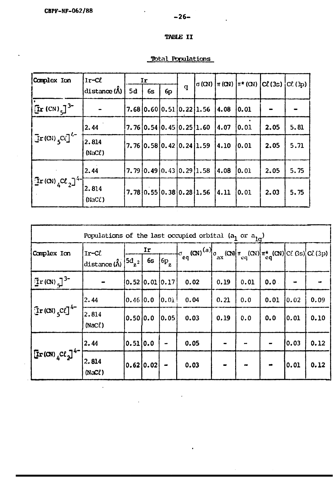# $-26-$

 $\ddot{\phantom{0}}$ 

## TABLE II

## Total Populations

| Complex Ion                                                       | $Ir-Cl$                | Ir |    |                                    |   |      | $\sigma$ (CN) $\pi$ (CN) $\pi$ * (CN) $\sigma$ (CL (3s) |      | $\mathcal{C}(\mathcal{C})$ |  |
|-------------------------------------------------------------------|------------------------|----|----|------------------------------------|---|------|---------------------------------------------------------|------|----------------------------|--|
|                                                                   | distance $(\bigwedge)$ | 5d | 6s | 6 <sub>p</sub>                     | q |      |                                                         |      |                            |  |
| $\left[\text{Tr}\left(\text{CN}\right)\right]^{3-}$               |                        |    |    | $7.68$   0.60   0.51   0.22   1.56 |   | 4.08 | 0.01                                                    |      |                            |  |
| $\left[\text{Tr}(\text{C}V)\right]_{5}^{C}\text{C}$               | 2.44                   |    |    | $7.76$ 0.54 0.45 0.25 1.60         |   | 4.07 | 10.01                                                   | 2.05 | 5.81                       |  |
|                                                                   | 2.814<br>$(NaC\ell)$   |    |    | $7.76$ 0.58 0.42 0.24 1.59         |   | 4.10 | 10.01                                                   | 2.05 | 5.71                       |  |
|                                                                   | 2.44                   |    |    | $7.79$ 0.49 0.43 0.29 1.58         |   | 4.08 | 10.01                                                   | 2.05 | 5.75                       |  |
| $\left[ \text{Tr}(\text{CN}) _{4} \text{C} \ell _{2} \right]^{4}$ | 2.814<br>$(NaC\ell)$   |    |    | $7.78$ 0.55 0.38 0.28 1.56         |   | 4.11 | [0.01]                                                  | 2.03 | 5.75                       |  |

| Populations of the last occupied orbital (a <sub>1</sub> or $a_{1q}$ )          |                                             |              |           |                |                                                                                                                                                              |      |      |      |        |      |
|---------------------------------------------------------------------------------|---------------------------------------------|--------------|-----------|----------------|--------------------------------------------------------------------------------------------------------------------------------------------------------------|------|------|------|--------|------|
| Complex Ion                                                                     | Ir-Cl<br>distance $(\lambda)$ $5d_{z^2}$ 6s |              | Ir        | $6p_{2}$       | $\left  \sigma_{eq}(\alpha)^{(a)} \right  \sigma_{ax}(\alpha) \left  \pi_{eq}(\alpha) \right  \pi_{eq}^{\star}(\alpha) \left  c \in (3s) \right  c \in (3p)$ |      |      |      |        |      |
| $\left[\text{Tr}(\alpha)\right]^{3-}$                                           |                                             |              |           | 0.52 0.01 0.17 | 0.02                                                                                                                                                         | 0.19 | 0.01 | 0.0  |        |      |
| $\left[\text{Tr}(\alpha)\right]_{5}$ C $\ell$ ] <sup>4-</sup>                   | 2.44                                        | $0.46$ $0.0$ |           | [0.01]         | 0.04                                                                                                                                                         | 0.21 | 0.0  | 0.01 | 0.02   | 0.09 |
|                                                                                 | 2.814<br>$(Nac\ell)$                        | 0.50 0.0     |           | 0.05           | 0.03                                                                                                                                                         | 0.19 | 0.0  | 0.0  | 0.01   | 0.10 |
| $\left \operatorname{Tr}\left(\alpha\right)\right\rangle _{4}$ $C\ell_{2}^{-1}$ | 2.44                                        | 0.51]0.0     |           | $\bullet$      | 0.05                                                                                                                                                         |      |      |      | [0.03] | 0.12 |
|                                                                                 | [2.814]<br>$(NaC\ell)$                      |              | 0.62 0.02 | $\rightarrow$  | 0.03                                                                                                                                                         |      |      |      | [0.01] | 0.12 |

 $\hat{\mathcal{A}}$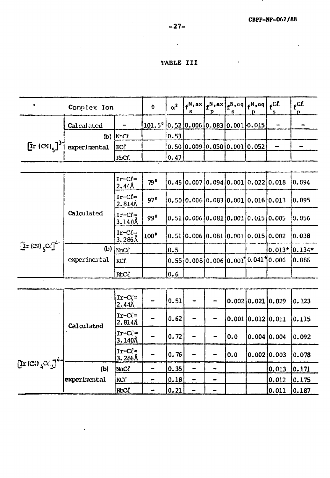$\ddot{\phantom{a}}$ 

## TABLE III

 $\sim 10^{-11}$ 

|                                        | Complex Ion  |                                   |                  |      | S         | р                            | s   | $f^N$ , ax $f^N$ , ax $f^N$ , eq $f^N$ , eq<br>p | $_{\epsilon}$ C $\ell$<br>s | $f^{\mathcal{CL}}$<br>n |
|----------------------------------------|--------------|-----------------------------------|------------------|------|-----------|------------------------------|-----|--------------------------------------------------|-----------------------------|-------------------------|
|                                        | Calculated   |                                   | $101.5^{\circ}$  |      |           | 0.52 0.006 0.083 0.001 0.015 |     |                                                  |                             |                         |
|                                        |              | $(b)$ NaC $\ell$                  |                  | 0.53 |           |                              |     |                                                  |                             |                         |
| $\left[\text{Ir (CN)}_{5}\right]^{3}$  | experimental | KCL                               |                  |      |           | 0.50 0.009 0.050 0.001 0.052 |     |                                                  |                             | -                       |
|                                        |              | RbCf.                             |                  | 0.47 |           |                              |     |                                                  |                             |                         |
|                                        |              |                                   |                  |      |           |                              |     |                                                  |                             |                         |
|                                        |              | $Ir-C\ell =$<br>2.44 <sub>h</sub> | $79^{\circ}$     |      |           |                              |     | 0.46[0.007]0.094[0.001]0.022]0.018               |                             | 0.094                   |
|                                        |              | $Ir-C(-$<br>$2.814$ Å             | 97°              |      |           |                              |     | 0.50 0.006 0.083 0.001 0.016 0.013               |                             | 0.095                   |
| $\left[\text{Ir}(\text{C})\right]^{4}$ | Calculated   | $Ir-Cl=$<br>3.140Å                | 99 <sup>0</sup>  |      |           |                              |     | 0.51 0.006 0.081 0.001 0.015 0.005               |                             | 0.056                   |
|                                        |              | $Ir-Cl=$<br><u>3.286Å</u>         | 100 <sup>°</sup> |      |           |                              |     | 0.51[0.006[0.081]0.001[0.015]0.002               |                             | 0.038                   |
|                                        | (b)          | $\mathsf{Nac}\ell$                |                  | 0.5  |           |                              |     |                                                  | $0.013*0.134*$              |                         |
|                                        | experimental | KCL                               |                  |      |           |                              |     | $0.55 0.008 0.006 0.001 0.041$ 10.006            |                             | 0.086                   |
|                                        |              | $RbC\ell$                         |                  | 0.6  |           |                              |     |                                                  |                             |                         |
|                                        |              |                                   |                  |      |           |                              |     |                                                  |                             |                         |
|                                        |              | $Ir-Cf=$<br>$2.44\%$              |                  | 0.51 |           |                              |     | $0.002$ 0.021 0.029                              |                             | 0.123                   |
|                                        | Calculated   | $Ir-Cf=$<br>2.814A                |                  | 0.62 | -         |                              |     | 0.001 0.012 0.011                                |                             | 0.115                   |
|                                        |              | $Ir-Cl=$<br>3.140 <sub>h</sub>    |                  | 0.72 | -         |                              | 0.0 |                                                  | $0.004$ 0.004               | 0.092                   |
|                                        |              | $Ir-C(-$<br>3.286 <sub>A</sub>    |                  | 0.76 | -         |                              | 0.0 |                                                  | $0.002$ 0.003               | 0.078                   |
| $\left[\text{Ir}(C_i)\right]_4C_i^2$   | (b)          | $Nac\ell$                         | $\blacksquare$   | 0.35 | -         | 4                            |     |                                                  | 0.013                       | 0.171                   |
|                                        | experimental | KC <sup>l</sup>                   | $\blacksquare$   | 0.18 | $\bullet$ | $\bullet$                    |     |                                                  | 0.012                       | 0.175                   |
|                                        |              | RbCl                              | -                | 0.21 | -         | -                            |     |                                                  | 0.011                       | 0.187                   |

 $\Delta \sim 10^{-4}$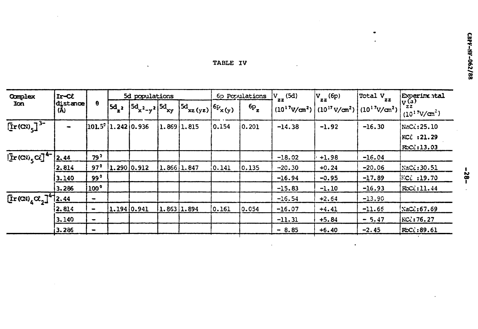| <b>TABLE IV</b> |  |  |  |
|-----------------|--|--|--|
|                 |  |  |  |

 $\mathcal{L}(\mathbf{X})$  and  $\mathcal{L}(\mathbf{X})$ 

 $\bar{z}$ 

| Complex<br>Ion                                                                  | Ircl            |                              | 5d populations             |                             |  | 6p Populations  |             | $V_{zz}$ (5d)     | $V_{zz}$ (6p) | Total $V_{zz}$ | Experimental                                                |                                                    |
|---------------------------------------------------------------------------------|-----------------|------------------------------|----------------------------|-----------------------------|--|-----------------|-------------|-------------------|---------------|----------------|-------------------------------------------------------------|----------------------------------------------------|
|                                                                                 | distance<br>(A) | θ                            | $5d_{2}$                   | $ ^{5d}x^{2}-y^{2} ^{5d}xy$ |  | $ 5d_{xz(yz)} $ | $6P_{x(y)}$ | $6p$ <sub>z</sub> |               |                | $(10^{17}V/cm^{2})$ $(10^{17}V/cm^{2})$ $(10^{17}V/cm^{2})$ | $\sqrt{\frac{v}{z}}$<br>$(10^{17}V/cm^{2})$        |
| $\left[\text{Ir}(\text{CV})_{5}\right]^{3-}$                                    |                 |                              | $[101.5^\circ]1.242]0.936$ |                             |  | 1.869 1.815     | 0.154       | 0.201             | $-14.38$      | $-1.92$        | $-16.30$                                                    | NaCl: 25.10<br>KCC: 21.29<br>$RC\mathcal{C}:13.03$ |
| $ \mathbf{I} \times (\mathbf{C} \mathbf{V})  \leq C \mathbf{C}^{-1} \cdot 2.44$ |                 | 79 <sup>5</sup>              |                            |                             |  |                 |             |                   | $-18.02$      | $+1.98$        | $-16.04$                                                    |                                                    |
|                                                                                 | 2.814           | $97^{\circ}$                 |                            | 1.290 0.912                 |  | 1.866 1.847     | 0.141       | 0.135             | $-20.30$      | $+0.24$        | $-20.06$                                                    | NaC£:30.51                                         |
|                                                                                 | 3.140           | $99^0$                       |                            |                             |  |                 |             |                   | $-16.94$      | $-0.95$        | $-17.89$                                                    | $KC^2$ :19.70                                      |
|                                                                                 | 3.286           | 100°                         |                            |                             |  |                 |             |                   | $-15.83$      | $-1.10$        | $-16.93$                                                    | RCC:11.44                                          |
| $[\text{Ir(}\alpha_0\alpha_2]^4]$ 2.44                                          |                 | $\blacksquare$               |                            |                             |  |                 |             |                   | $-16.54$      | $+2.64$        | $-13.90$                                                    |                                                    |
|                                                                                 | 2.814           | $\qquad \qquad \blacksquare$ | 1.194 0.941                |                             |  | $1.863$ 1.894   | [0.161]     | 0.054             | $-16.07$      | $+4.41$        | $-11.65$                                                    | NaCl: 67.69                                        |
|                                                                                 | 3.140           | $\blacksquare$               |                            |                             |  |                 |             |                   | $-11.31$      | $+5.84$        | $-5.47$                                                     | KCZ:76.27                                          |
|                                                                                 | 3.286           | $\qquad \qquad \blacksquare$ |                            |                             |  |                 |             |                   | $-8.85$       | $+6.40$        | $-2.45$                                                     | $RC\mathcal{C}:89.61$                              |
|                                                                                 |                 |                              |                            |                             |  |                 |             |                   |               |                |                                                             |                                                    |

 $\bullet$ 

 $\mathbf{r}$ 

 $\bar{\phantom{a}}$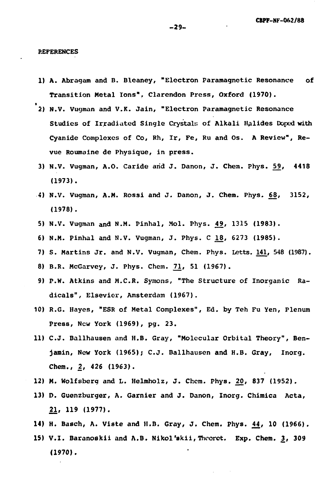**REFERENCES**

- **1) A. Abragam and B. Bleaney, "Electron Paramagnetic Resonance of Transition Metal Ions". Clarendon Press, Oxford (1970).**
- **2) N.V. Vugman and V.K. Jain, "Electron Paramagnetic Resonance Studies of Irradiated Single Crystals of Alkali Halides Doped with Cyanide Complexes of Co, Rh, Ir, Fe, Ru and Os. A Review", Revue Roumaine de Physique, in press.**
- **3) N.V. Vugman, A.O. Caride arid J. Danon, J. Chem. Phys. 5\_9, 4418 (1973).**
- **4) N.V. Vugman, A.M. Rossi and J. Danon, J. Chem. Phys. 6JJ, 3152, (1978).**
- **5) N.V. Vugman and N.M. Pinhal, Mol. Phys. £9, 1315 (1983).**
- 6) N.M. Pinhal and N.V. Vugman, J. Phys. C 18, 6273 (1985).
- **7) S. Martins Jr. and N.V. Vugrnan, Chem. Phys. Letts. 141, 548 (1987).**
- **8) B.R. McGarvey, J. Phys. Chem. 7^, 51 (1967).**
- **9) P.W. Atkins and M.C.R. Symons, "The Structure of Inorganic Radicals", Elsevior, Amsterdam (1967).**
- **10) R.G. Hayes, "ESR of Metal Complexes", Ed. by Teh Fu Yen, Plenum Press, New York (1969), pg. 23.**
- **11) C.J. Ballhausen and H.B. Gray, "Molecular Orbital Theory", Benjamin, New York (1965); C.J. Ballhausen and H.B. Gray, Inorg. Chem., 2, 426 (1963).**
- **12) M. Wolfsberq and L. Helmholz, J. Chem. Phys. 20' 837 (1952).**
- 13) D. Guenzburger, A. Garnier and J. Danon, Inorg. Chimica Acta, **21, 119 (1977).**
- **14) H. Basch, A. Vlste and H.B. Gray, J. Chem. Phys. \_44, 10 (1966).**
- **15) V.I. Baranoskii and A.B. Nikol'skii, Theorct. Exp. Chem. 3, 309 (1970).**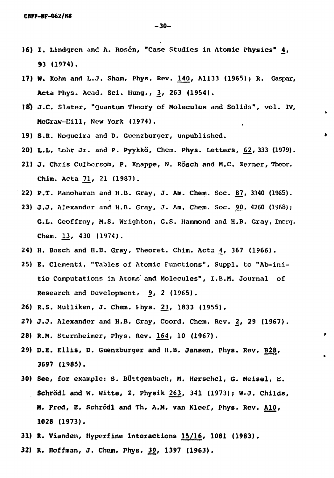- 16) I. Lindgren and A. Rosén, "Case Studies in Atomic Physics" 4, 93 (1974).
- 17) W. Kohn and L.J. Sham, Phys. Rev. 140, A1133 (1965); R. Gaspar, Acta Phys. Acad. Sci. Hung., 3, 263 (1954).
- 18) J.C. Slater, "Quantum Theory of Molecules and Solids", vol. IV, McGraw-Hill, New York (1974).
- 19) S.R. Nogueira and D. Guenzburger, unpublished.
- 20) L.L. Lohr Jr. and P. Pyykko, Chem. Phys. Letters, 62, 333 (1979).
- 21) J. Chris Culbersom, P. Knappe, N. Rösch and M.C. Zerner, Theor. Chim. Acta 71, 21 (1987).
- 22) P.T. Manoharan and H.B. Gray, J. Am. Chem. Soc. 87, 3340 (1965).
- 23) J.J. Alexander and H.B. Gray, J. Am. Chem. Soc. 90, 4260 (1968); G.L. Geoffroy, M.S. Wrighton, G.S. Hammond and H.B. Gray, Inorg. Chem. 13, 430 (1974).
- 24) H. Basch and H.B. Gray, Theoret. Chim. Acta 4, 367 (1966).
- 25) E. Clementi, "Tables of Atomic Functions", Suppl. to "Ab-initio Computations in Atoms' and Molecules", I.B.M. Journal of Research and Development, 9, 2 (1965).
- 26) R.S. Mulliken, J. Chem. Phys. 23, 1833 (1955).
- 27) J.J. Alexander and H.B. Gray, Coord. Chem. Rev. 2, 29 (1967).
- 28) R.M. Sternheimer, Phys. Rev. 164, 10 (1967).
- 29) D.E. Ellis, D. Guenzburger and H.B. Jansen, Phys. Rev. B28, 3697 (1985).
- 30) See, for example: S. Biittgenbach, M. Herschel, G. Meisel, E. Schrödl and W. Witte, Z. Physik 263, 341 (1973); W.J. Childs, N. Fred, E. Schrodl and Th. A.M. van Klcef, Phys. Rev. AlO, **1028** (1973).
- 31) R. Vianden, Hyperfine Interactions 15/16, 1081 (1983).
- 32) R. Hoffman, J. Chom. Phys. 39, 1397 (1963),

-30-